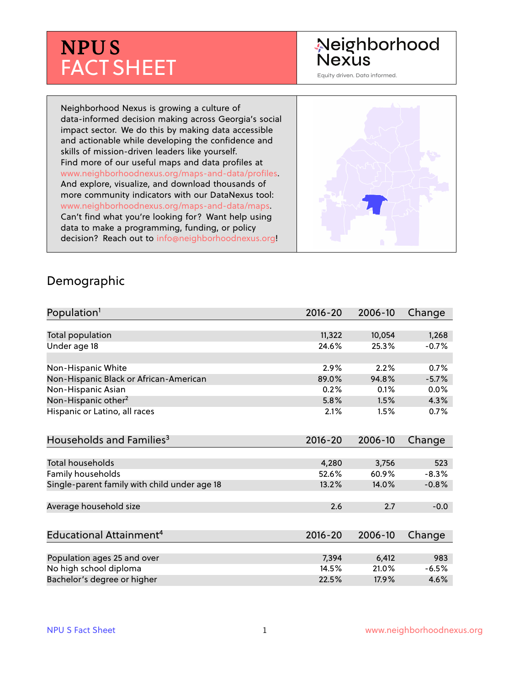# **NPU S** FACT SHEET

## Neighborhood **Nexus**

Equity driven. Data informed.

Neighborhood Nexus is growing a culture of data-informed decision making across Georgia's social impact sector. We do this by making data accessible and actionable while developing the confidence and skills of mission-driven leaders like yourself. Find more of our useful maps and data profiles at www.neighborhoodnexus.org/maps-and-data/profiles. And explore, visualize, and download thousands of more community indicators with our DataNexus tool: www.neighborhoodnexus.org/maps-and-data/maps. Can't find what you're looking for? Want help using data to make a programming, funding, or policy decision? Reach out to [info@neighborhoodnexus.org!](mailto:info@neighborhoodnexus.org)



#### Demographic

| Population <sup>1</sup>                      | $2016 - 20$ | 2006-10 | Change  |
|----------------------------------------------|-------------|---------|---------|
|                                              |             |         |         |
| Total population                             | 11,322      | 10,054  | 1,268   |
| Under age 18                                 | 24.6%       | 25.3%   | $-0.7%$ |
| Non-Hispanic White                           | 2.9%        | 2.2%    | 0.7%    |
| Non-Hispanic Black or African-American       | 89.0%       | 94.8%   | $-5.7%$ |
| Non-Hispanic Asian                           | 0.2%        | 0.1%    | $0.0\%$ |
| Non-Hispanic other <sup>2</sup>              | 5.8%        | 1.5%    | 4.3%    |
| Hispanic or Latino, all races                | 2.1%        | 1.5%    | 0.7%    |
| Households and Families <sup>3</sup>         | $2016 - 20$ | 2006-10 | Change  |
| <b>Total households</b>                      | 4,280       | 3,756   | 523     |
| Family households                            | 52.6%       | 60.9%   | $-8.3%$ |
| Single-parent family with child under age 18 | 13.2%       | 14.0%   | $-0.8%$ |
| Average household size                       | 2.6         | 2.7     | $-0.0$  |
| Educational Attainment <sup>4</sup>          | $2016 - 20$ | 2006-10 | Change  |
|                                              |             |         |         |
| Population ages 25 and over                  | 7,394       | 6,412   | 983     |
| No high school diploma                       | 14.5%       | 21.0%   | $-6.5%$ |
| Bachelor's degree or higher                  | 22.5%       | 17.9%   | 4.6%    |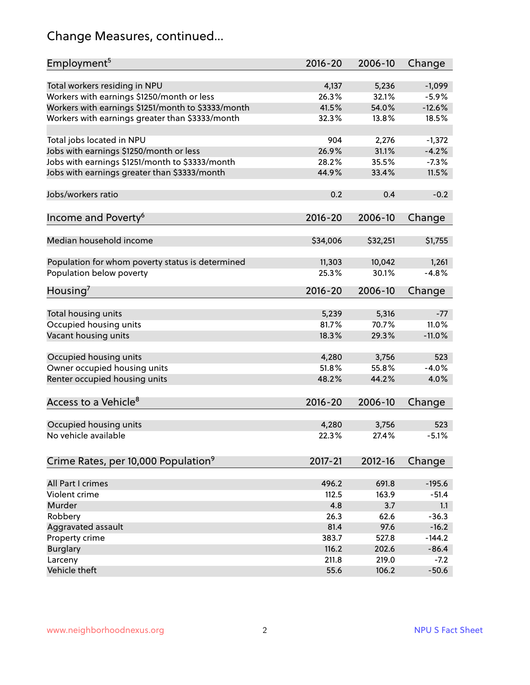## Change Measures, continued...

| Employment <sup>5</sup>                            | $2016 - 20$ | 2006-10  | Change   |
|----------------------------------------------------|-------------|----------|----------|
|                                                    |             |          |          |
| Total workers residing in NPU                      | 4,137       | 5,236    | $-1,099$ |
| Workers with earnings \$1250/month or less         | 26.3%       | 32.1%    | $-5.9%$  |
| Workers with earnings \$1251/month to \$3333/month | 41.5%       | 54.0%    | $-12.6%$ |
| Workers with earnings greater than \$3333/month    | 32.3%       | 13.8%    | 18.5%    |
| Total jobs located in NPU                          | 904         | 2,276    | $-1,372$ |
| Jobs with earnings \$1250/month or less            | 26.9%       | 31.1%    | $-4.2%$  |
| Jobs with earnings \$1251/month to \$3333/month    | 28.2%       | 35.5%    | $-7.3%$  |
| Jobs with earnings greater than \$3333/month       | 44.9%       | 33.4%    | 11.5%    |
|                                                    |             |          |          |
| Jobs/workers ratio                                 | 0.2         | 0.4      | $-0.2$   |
|                                                    | $2016 - 20$ |          |          |
| Income and Poverty <sup>6</sup>                    |             | 2006-10  | Change   |
| Median household income                            | \$34,006    | \$32,251 | \$1,755  |
|                                                    |             |          |          |
| Population for whom poverty status is determined   | 11,303      | 10,042   | 1,261    |
| Population below poverty                           | 25.3%       | 30.1%    | $-4.8%$  |
|                                                    |             |          |          |
| Housing <sup>7</sup>                               | $2016 - 20$ | 2006-10  | Change   |
| Total housing units                                | 5,239       | 5,316    | $-77$    |
|                                                    | 81.7%       | 70.7%    | 11.0%    |
| Occupied housing units                             |             |          |          |
| Vacant housing units                               | 18.3%       | 29.3%    | $-11.0%$ |
| Occupied housing units                             | 4,280       | 3,756    | 523      |
| Owner occupied housing units                       | 51.8%       | 55.8%    | $-4.0%$  |
| Renter occupied housing units                      | 48.2%       | 44.2%    | 4.0%     |
|                                                    |             |          |          |
| Access to a Vehicle <sup>8</sup>                   | $2016 - 20$ | 2006-10  | Change   |
|                                                    |             |          |          |
| Occupied housing units                             | 4,280       | 3,756    | 523      |
| No vehicle available                               | 22.3%       | 27.4%    | $-5.1%$  |
|                                                    |             |          |          |
| Crime Rates, per 10,000 Population <sup>9</sup>    | 2017-21     | 2012-16  | Change   |
|                                                    |             |          |          |
| All Part I crimes                                  | 496.2       | 691.8    | $-195.6$ |
| Violent crime                                      | 112.5       | 163.9    | $-51.4$  |
| Murder                                             | 4.8         | 3.7      | 1.1      |
| Robbery                                            | 26.3        | 62.6     | $-36.3$  |
| Aggravated assault                                 | 81.4        | 97.6     | $-16.2$  |
| Property crime                                     | 383.7       | 527.8    | $-144.2$ |
| <b>Burglary</b>                                    | 116.2       | 202.6    | $-86.4$  |
| Larceny                                            | 211.8       | 219.0    | $-7.2$   |
| Vehicle theft                                      | 55.6        | 106.2    | $-50.6$  |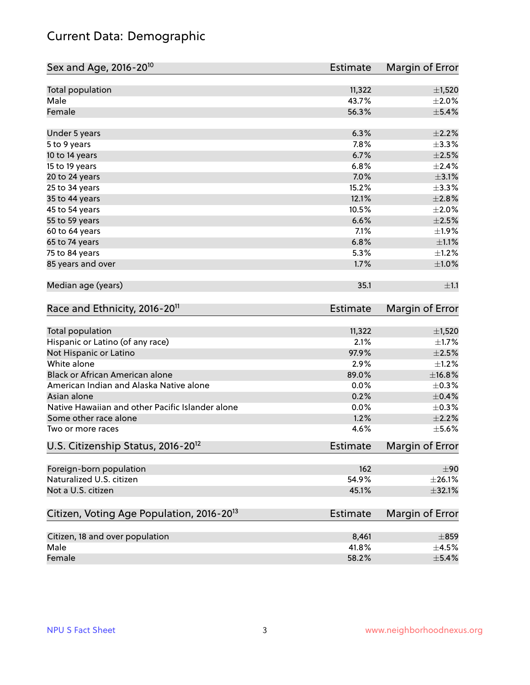## Current Data: Demographic

| Sex and Age, 2016-20 <sup>10</sup>                    | Estimate        | Margin of Error |
|-------------------------------------------------------|-----------------|-----------------|
| Total population                                      | 11,322          | $\pm$ 1,520     |
| Male                                                  | 43.7%           | $\pm 2.0\%$     |
| Female                                                | 56.3%           | $\pm$ 5.4%      |
| Under 5 years                                         | 6.3%            | $\pm 2.2\%$     |
| 5 to 9 years                                          | 7.8%            | ±3.3%           |
| 10 to 14 years                                        | 6.7%            | $\pm 2.5\%$     |
| 15 to 19 years                                        | 6.8%            | ±2.4%           |
| 20 to 24 years                                        | 7.0%            | $\pm$ 3.1%      |
| 25 to 34 years                                        | 15.2%           | ±3.3%           |
| 35 to 44 years                                        | 12.1%           | $\pm 2.8\%$     |
| 45 to 54 years                                        | 10.5%           | $\pm 2.0\%$     |
| 55 to 59 years                                        | 6.6%            | $\pm 2.5\%$     |
| 60 to 64 years                                        | 7.1%            | ±1.9%           |
| 65 to 74 years                                        | 6.8%            | $\pm 1.1\%$     |
| 75 to 84 years                                        | 5.3%            | $\pm 1.2\%$     |
| 85 years and over                                     | 1.7%            | $\pm 1.0\%$     |
| Median age (years)                                    | 35.1            | ±1.1            |
| Race and Ethnicity, 2016-20 <sup>11</sup>             | Estimate        | Margin of Error |
| Total population                                      | 11,322          | $\pm$ 1,520     |
| Hispanic or Latino (of any race)                      | 2.1%            | $\pm 1.7\%$     |
| Not Hispanic or Latino                                | 97.9%           | $\pm 2.5\%$     |
| White alone                                           | 2.9%            | $\pm 1.2\%$     |
| Black or African American alone                       | 89.0%           | ±16.8%          |
| American Indian and Alaska Native alone               | 0.0%            | $\pm$ 0.3%      |
| Asian alone                                           | 0.2%            | $\pm$ 0.4%      |
| Native Hawaiian and other Pacific Islander alone      | 0.0%            | $\pm$ 0.3%      |
| Some other race alone                                 | 1.2%            | $\pm 2.2\%$     |
| Two or more races                                     | 4.6%            | $\pm$ 5.6%      |
| U.S. Citizenship Status, 2016-20 <sup>12</sup>        | <b>Estimate</b> | Margin of Error |
| Foreign-born population                               | 162             | ±90             |
| Naturalized U.S. citizen                              | 54.9%           | $\pm 26.1\%$    |
| Not a U.S. citizen                                    | 45.1%           | $\pm$ 32.1%     |
| Citizen, Voting Age Population, 2016-20 <sup>13</sup> | <b>Estimate</b> | Margin of Error |
| Citizen, 18 and over population                       | 8,461           | $\pm 859$       |
| Male                                                  | 41.8%           | $\pm$ 4.5%      |
| Female                                                | 58.2%           | $\pm$ 5.4%      |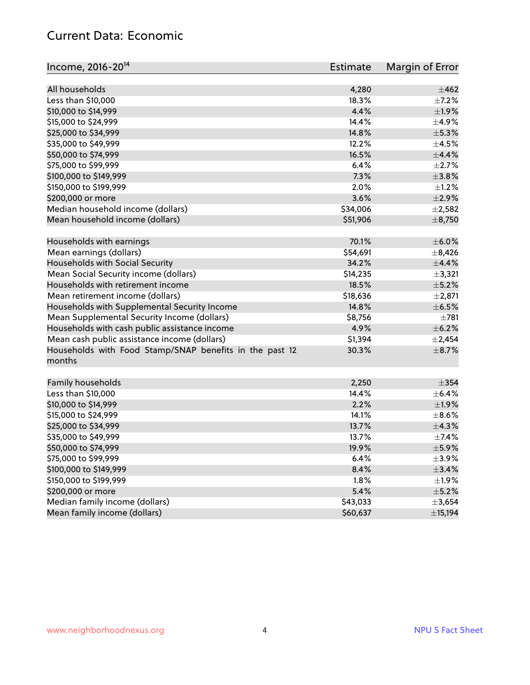#### Current Data: Economic

| Income, 2016-20 <sup>14</sup>                                     | <b>Estimate</b> | Margin of Error |
|-------------------------------------------------------------------|-----------------|-----------------|
| All households                                                    | 4,280           | $\pm 462$       |
| Less than \$10,000                                                | 18.3%           | $\pm$ 7.2%      |
| \$10,000 to \$14,999                                              | 4.4%            | $\pm 1.9\%$     |
| \$15,000 to \$24,999                                              | 14.4%           | $\pm$ 4.9%      |
| \$25,000 to \$34,999                                              | 14.8%           | $\pm$ 5.3%      |
| \$35,000 to \$49,999                                              | 12.2%           | $\pm 4.5\%$     |
| \$50,000 to \$74,999                                              | 16.5%           | $\pm$ 4.4%      |
| \$75,000 to \$99,999                                              | 6.4%            | $\pm 2.7\%$     |
|                                                                   | 7.3%            | ±3.8%           |
| \$100,000 to \$149,999                                            | 2.0%            |                 |
| \$150,000 to \$199,999                                            |                 | $\pm 1.2\%$     |
| \$200,000 or more                                                 | 3.6%            | $\pm 2.9\%$     |
| Median household income (dollars)                                 | \$34,006        | $\pm 2,582$     |
| Mean household income (dollars)                                   | \$51,906        | $\pm$ 8,750     |
| Households with earnings                                          | 70.1%           | $\pm$ 6.0%      |
| Mean earnings (dollars)                                           | \$54,691        | $\pm$ 8,426     |
| Households with Social Security                                   | 34.2%           | $\pm$ 4.4%      |
| Mean Social Security income (dollars)                             | \$14,235        | ±3,321          |
| Households with retirement income                                 | 18.5%           | $\pm$ 5.2%      |
| Mean retirement income (dollars)                                  | \$18,636        | $\pm 2,871$     |
| Households with Supplemental Security Income                      | 14.8%           | $\pm$ 6.5%      |
| Mean Supplemental Security Income (dollars)                       | \$8,756         | $\pm 781$       |
| Households with cash public assistance income                     | 4.9%            | $\pm$ 6.2%      |
| Mean cash public assistance income (dollars)                      | \$1,394         | $\pm 2,454$     |
| Households with Food Stamp/SNAP benefits in the past 12<br>months | 30.3%           | $\pm$ 8.7%      |
| Family households                                                 | 2,250           | $\pm$ 354       |
| Less than \$10,000                                                | 14.4%           | $\pm$ 6.4%      |
| \$10,000 to \$14,999                                              | 2.2%            | ±1.9%           |
| \$15,000 to \$24,999                                              | 14.1%           | $\pm$ 8.6%      |
| \$25,000 to \$34,999                                              | 13.7%           | ±4.3%           |
| \$35,000 to \$49,999                                              | 13.7%           | ±7.4%           |
| \$50,000 to \$74,999                                              | 19.9%           | $\pm$ 5.9%      |
| \$75,000 to \$99,999                                              | 6.4%            | $\pm$ 3.9%      |
| \$100,000 to \$149,999                                            | 8.4%            | $\pm$ 3.4%      |
| \$150,000 to \$199,999                                            | 1.8%            | $\pm$ 1.9%      |
| \$200,000 or more                                                 | 5.4%            | $\pm$ 5.2%      |
| Median family income (dollars)                                    | \$43,033        | $\pm 3,654$     |
| Mean family income (dollars)                                      | \$60,637        | ±15,194         |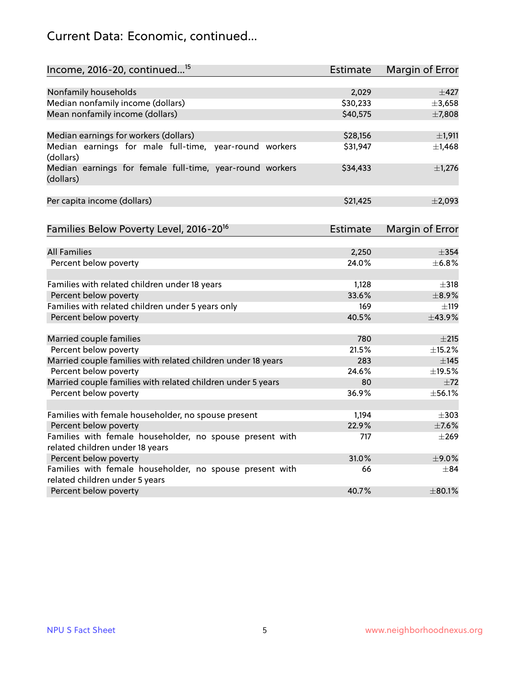## Current Data: Economic, continued...

| Income, 2016-20, continued <sup>15</sup>                                                   | Estimate        | Margin of Error        |
|--------------------------------------------------------------------------------------------|-----------------|------------------------|
|                                                                                            |                 |                        |
| Nonfamily households                                                                       | 2,029           | $\pm 427$              |
| Median nonfamily income (dollars)                                                          | \$30,233        | ±3,658                 |
| Mean nonfamily income (dollars)                                                            | \$40,575        | ±7,808                 |
| Median earnings for workers (dollars)                                                      | \$28,156        | $\pm$ 1,911            |
| Median earnings for male full-time, year-round workers                                     | \$31,947        | $\pm$ 1,468            |
| (dollars)                                                                                  |                 |                        |
| Median earnings for female full-time, year-round workers<br>(dollars)                      | \$34,433        | $\pm$ 1,276            |
| Per capita income (dollars)                                                                | \$21,425        | ±2,093                 |
|                                                                                            |                 |                        |
| Families Below Poverty Level, 2016-20 <sup>16</sup>                                        | <b>Estimate</b> | <b>Margin of Error</b> |
|                                                                                            |                 |                        |
| <b>All Families</b>                                                                        | 2,250           | $\pm$ 354              |
| Percent below poverty                                                                      | 24.0%           | ±6.8%                  |
| Families with related children under 18 years                                              | 1,128           | $\pm$ 318              |
| Percent below poverty                                                                      | 33.6%           | $\pm$ 8.9%             |
| Families with related children under 5 years only                                          | 169             | $\pm$ 119              |
| Percent below poverty                                                                      | 40.5%           | ±43.9%                 |
| Married couple families                                                                    | 780             | $\pm 215$              |
| Percent below poverty                                                                      | 21.5%           | ±15.2%                 |
| Married couple families with related children under 18 years                               | 283             | $\pm$ 145              |
| Percent below poverty                                                                      | 24.6%           | ±19.5%                 |
| Married couple families with related children under 5 years                                | 80              | $\pm 72$               |
| Percent below poverty                                                                      | 36.9%           | ±56.1%                 |
|                                                                                            |                 |                        |
| Families with female householder, no spouse present                                        | 1,194           | $\pm$ 303              |
| Percent below poverty                                                                      | 22.9%           | $\pm$ 7.6%             |
| Families with female householder, no spouse present with                                   | 717             | $\pm 269$              |
| related children under 18 years                                                            |                 |                        |
| Percent below poverty                                                                      | 31.0%           | ±9.0%                  |
| Families with female householder, no spouse present with<br>related children under 5 years | 66              | $\pm$ 84               |
| Percent below poverty                                                                      | 40.7%           | $\pm$ 80.1%            |
|                                                                                            |                 |                        |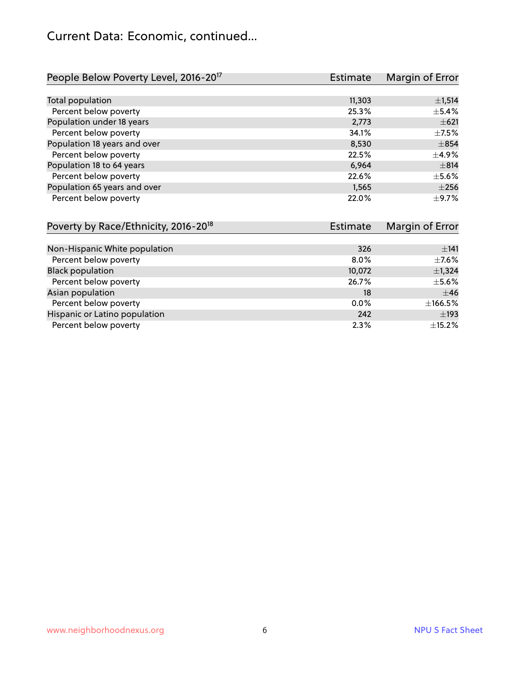#### Current Data: Economic, continued...

| People Below Poverty Level, 2016-20 <sup>17</sup> | <b>Estimate</b> | Margin of Error |
|---------------------------------------------------|-----------------|-----------------|
|                                                   |                 |                 |
| Total population                                  | 11,303          | ±1,514          |
| Percent below poverty                             | 25.3%           | $\pm$ 5.4%      |
| Population under 18 years                         | 2,773           | $\pm 621$       |
| Percent below poverty                             | 34.1%           | $\pm$ 7.5%      |
| Population 18 years and over                      | 8,530           | $\pm$ 854       |
| Percent below poverty                             | 22.5%           | $\pm$ 4.9%      |
| Population 18 to 64 years                         | 6.964           | $\pm$ 814       |
| Percent below poverty                             | 22.6%           | $\pm$ 5.6%      |
| Population 65 years and over                      | 1,565           | $\pm 256$       |
| Percent below poverty                             | 22.0%           | $\pm$ 9.7%      |

| Poverty by Race/Ethnicity, 2016-20 <sup>18</sup> | Estimate |             |
|--------------------------------------------------|----------|-------------|
|                                                  |          |             |
| Non-Hispanic White population                    | 326      | ±141        |
| Percent below poverty                            | $8.0\%$  | $\pm$ 7.6%  |
| <b>Black population</b>                          | 10,072   | $\pm$ 1,324 |
| Percent below poverty                            | 26.7%    | $\pm$ 5.6%  |
| Asian population                                 | 18       | $\pm$ 46    |
| Percent below poverty                            | $0.0\%$  | ±166.5%     |
| Hispanic or Latino population                    | 242      | $\pm$ 193   |
| Percent below poverty                            | 2.3%     | ±15.2%      |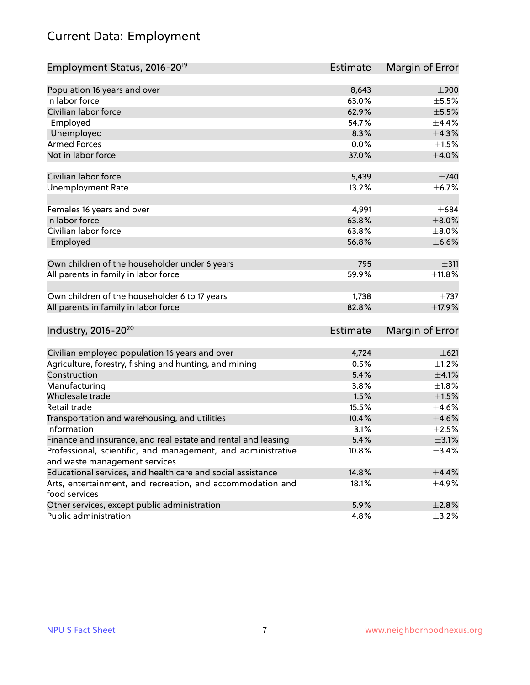## Current Data: Employment

| Employment Status, 2016-20 <sup>19</sup>                      | <b>Estimate</b> | Margin of Error |
|---------------------------------------------------------------|-----------------|-----------------|
|                                                               |                 |                 |
| Population 16 years and over                                  | 8,643           | $\pm 900$       |
| In labor force                                                | 63.0%           | $\pm$ 5.5%      |
| Civilian labor force                                          | 62.9%           | $\pm$ 5.5%      |
| Employed                                                      | 54.7%           | ±4.4%           |
| Unemployed                                                    | 8.3%            | ±4.3%           |
| <b>Armed Forces</b>                                           | 0.0%            | $\pm 1.5\%$     |
| Not in labor force                                            | 37.0%           | $\pm 4.0\%$     |
| Civilian labor force                                          | 5,439           | $\pm 740$       |
| <b>Unemployment Rate</b>                                      | 13.2%           | $\pm$ 6.7%      |
|                                                               |                 |                 |
| Females 16 years and over                                     | 4,991           | $\pm 684$       |
| In labor force                                                | 63.8%           | $\pm 8.0\%$     |
| Civilian labor force                                          | 63.8%           | $\pm 8.0\%$     |
| Employed                                                      | 56.8%           | $\pm$ 6.6%      |
| Own children of the householder under 6 years                 | 795             | $\pm$ 311       |
|                                                               |                 |                 |
| All parents in family in labor force                          | 59.9%           | ±11.8%          |
| Own children of the householder 6 to 17 years                 | 1,738           | $\pm 737$       |
| All parents in family in labor force                          | 82.8%           | ±17.9%          |
|                                                               |                 |                 |
| Industry, 2016-20 <sup>20</sup>                               | Estimate        | Margin of Error |
| Civilian employed population 16 years and over                | 4,724           | $\pm 621$       |
| Agriculture, forestry, fishing and hunting, and mining        | 0.5%            | $\pm$ 1.2%      |
| Construction                                                  | 5.4%            | $\pm 4.1\%$     |
| Manufacturing                                                 | 3.8%            | $\pm1.8\%$      |
| Wholesale trade                                               | 1.5%            | $\pm 1.5\%$     |
| Retail trade                                                  | 15.5%           | $\pm$ 4.6%      |
| Transportation and warehousing, and utilities                 | 10.4%           | $\pm 4.6\%$     |
| Information                                                   | 3.1%            | $\pm 2.5\%$     |
| Finance and insurance, and real estate and rental and leasing | 5.4%            | $\pm$ 3.1%      |
| Professional, scientific, and management, and administrative  | 10.8%           | ±3.4%           |
| and waste management services                                 |                 |                 |
| Educational services, and health care and social assistance   | 14.8%           | ±4.4%           |
| Arts, entertainment, and recreation, and accommodation and    | 18.1%           | $\pm$ 4.9%      |
| food services                                                 |                 |                 |
| Other services, except public administration                  | 5.9%            | $\pm 2.8\%$     |
| Public administration                                         | 4.8%            | $\pm$ 3.2%      |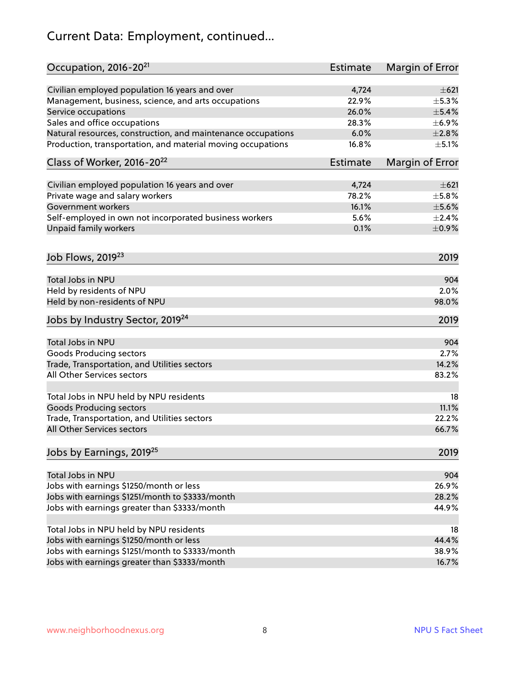## Current Data: Employment, continued...

| Occupation, 2016-20 <sup>21</sup>                            | <b>Estimate</b> | Margin of Error         |
|--------------------------------------------------------------|-----------------|-------------------------|
| Civilian employed population 16 years and over               | 4,724           | $\pm 621$               |
| Management, business, science, and arts occupations          | 22.9%           | $\pm$ 5.3%              |
| Service occupations                                          | 26.0%           | $\pm$ 5.4%              |
| Sales and office occupations                                 | 28.3%           | ±6.9%                   |
| Natural resources, construction, and maintenance occupations | 6.0%            | $\pm 2.8\%$             |
| Production, transportation, and material moving occupations  | 16.8%           | $\pm$ 5.1%              |
| Class of Worker, 2016-20 <sup>22</sup>                       | <b>Estimate</b> | Margin of Error         |
|                                                              | 4,724           |                         |
| Civilian employed population 16 years and over               | 78.2%           | $\pm 621$<br>$\pm$ 5.8% |
| Private wage and salary workers<br>Government workers        | 16.1%           |                         |
|                                                              |                 | $\pm$ 5.6%              |
| Self-employed in own not incorporated business workers       | 5.6%            | ±2.4%                   |
| Unpaid family workers                                        | 0.1%            | $\pm$ 0.9%              |
| Job Flows, 2019 <sup>23</sup>                                |                 | 2019                    |
| Total Jobs in NPU                                            |                 | 904                     |
| Held by residents of NPU                                     |                 | 2.0%                    |
| Held by non-residents of NPU                                 |                 | 98.0%                   |
| Jobs by Industry Sector, 2019 <sup>24</sup>                  |                 | 2019                    |
|                                                              |                 |                         |
| Total Jobs in NPU                                            |                 | 904                     |
| <b>Goods Producing sectors</b>                               |                 | 2.7%                    |
| Trade, Transportation, and Utilities sectors                 |                 | 14.2%                   |
| All Other Services sectors                                   |                 | 83.2%                   |
| Total Jobs in NPU held by NPU residents                      |                 | 18                      |
| <b>Goods Producing sectors</b>                               |                 | 11.1%                   |
| Trade, Transportation, and Utilities sectors                 |                 | 22.2%                   |
| All Other Services sectors                                   |                 | 66.7%                   |
| Jobs by Earnings, 2019 <sup>25</sup>                         |                 | 2019                    |
| Total Jobs in NPU                                            |                 | 904                     |
| Jobs with earnings \$1250/month or less                      |                 | 26.9%                   |
| Jobs with earnings \$1251/month to \$3333/month              |                 | 28.2%                   |
| Jobs with earnings greater than \$3333/month                 |                 | 44.9%                   |
|                                                              |                 |                         |
| Total Jobs in NPU held by NPU residents                      |                 | 18                      |
| Jobs with earnings \$1250/month or less                      |                 | 44.4%                   |
| Jobs with earnings \$1251/month to \$3333/month              |                 | 38.9%                   |
| Jobs with earnings greater than \$3333/month                 |                 | 16.7%                   |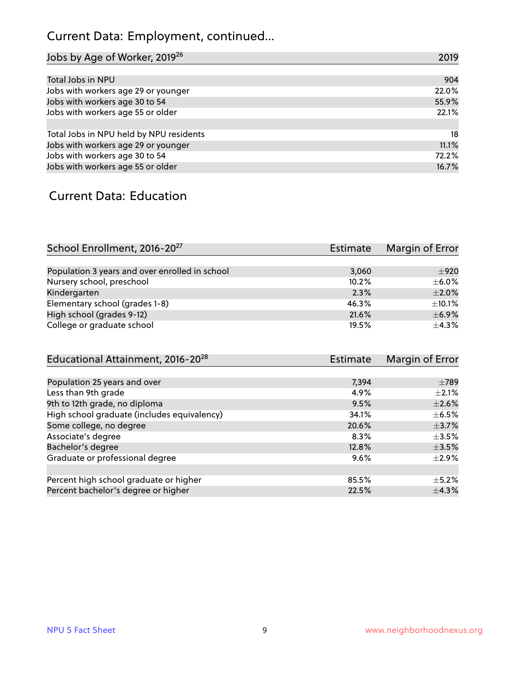## Current Data: Employment, continued...

| Jobs by Age of Worker, 2019 <sup>26</sup> | 2019  |
|-------------------------------------------|-------|
|                                           |       |
| Total Jobs in NPU                         | 904   |
| Jobs with workers age 29 or younger       | 22.0% |
| Jobs with workers age 30 to 54            | 55.9% |
| Jobs with workers age 55 or older         | 22.1% |
|                                           |       |
| Total Jobs in NPU held by NPU residents   | 18    |
| Jobs with workers age 29 or younger       | 11.1% |
| Jobs with workers age 30 to 54            | 72.2% |
| Jobs with workers age 55 or older         | 16.7% |

#### Current Data: Education

| School Enrollment, 2016-20 <sup>27</sup>       | Estimate | Margin of Error |
|------------------------------------------------|----------|-----------------|
|                                                |          |                 |
| Population 3 years and over enrolled in school | 3.060    | ±920            |
| Nursery school, preschool                      | 10.2%    | $\pm$ 6.0%      |
| Kindergarten                                   | 2.3%     | $\pm 2.0\%$     |
| Elementary school (grades 1-8)                 | 46.3%    | $\pm$ 10.1%     |
| High school (grades 9-12)                      | 21.6%    | $\pm$ 6.9%      |
| College or graduate school                     | 19.5%    | $\pm$ 4.3%      |

| Educational Attainment, 2016-20 <sup>28</sup> | <b>Estimate</b> | Margin of Error |
|-----------------------------------------------|-----------------|-----------------|
|                                               |                 |                 |
| Population 25 years and over                  | 7,394           | $\pm 789$       |
| Less than 9th grade                           | 4.9%            | $\pm 2.1\%$     |
| 9th to 12th grade, no diploma                 | 9.5%            | $\pm 2.6\%$     |
| High school graduate (includes equivalency)   | 34.1%           | $\pm$ 6.5%      |
| Some college, no degree                       | 20.6%           | $\pm$ 3.7%      |
| Associate's degree                            | 8.3%            | $\pm 3.5\%$     |
| Bachelor's degree                             | 12.8%           | $\pm$ 3.5%      |
| Graduate or professional degree               | 9.6%            | $\pm 2.9\%$     |
|                                               |                 |                 |
| Percent high school graduate or higher        | 85.5%           | $\pm$ 5.2%      |
| Percent bachelor's degree or higher           | 22.5%           | $\pm$ 4.3%      |
|                                               |                 |                 |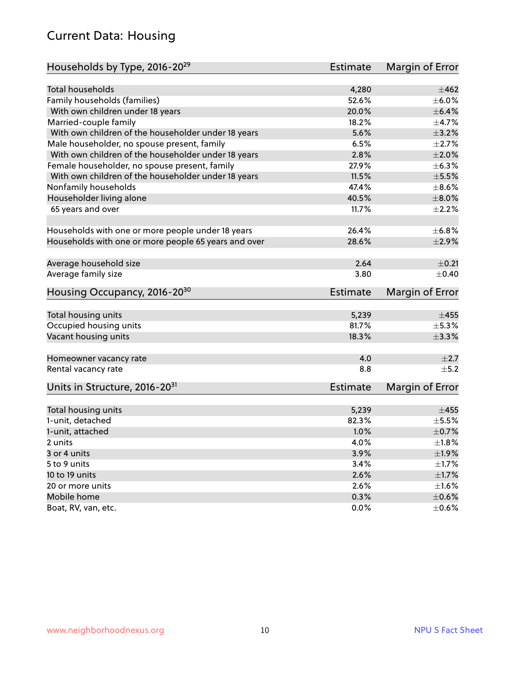#### Current Data: Housing

| Households by Type, 2016-20 <sup>29</sup>            | Estimate        | Margin of Error |
|------------------------------------------------------|-----------------|-----------------|
|                                                      |                 |                 |
| <b>Total households</b>                              | 4,280           | $\pm 462$       |
| Family households (families)                         | 52.6%           | $\pm$ 6.0%      |
| With own children under 18 years                     | 20.0%           | $\pm$ 6.4%      |
| Married-couple family                                | 18.2%           | ±4.7%           |
| With own children of the householder under 18 years  | 5.6%            | $\pm$ 3.2%      |
| Male householder, no spouse present, family          | 6.5%            | $\pm 2.7\%$     |
| With own children of the householder under 18 years  | 2.8%            | $\pm 2.0\%$     |
| Female householder, no spouse present, family        | 27.9%           | ±6.3%           |
| With own children of the householder under 18 years  | 11.5%           | $\pm$ 5.5%      |
| Nonfamily households                                 | 47.4%           | $\pm$ 8.6%      |
| Householder living alone                             | 40.5%           | $\pm 8.0\%$     |
| 65 years and over                                    | 11.7%           | $\pm 2.2\%$     |
| Households with one or more people under 18 years    | 26.4%           | ±6.8%           |
| Households with one or more people 65 years and over | 28.6%           | $\pm 2.9\%$     |
|                                                      |                 |                 |
| Average household size                               | 2.64            | $\pm$ 0.21      |
| Average family size                                  | 3.80            | $\pm$ 0.40      |
| Housing Occupancy, 2016-20 <sup>30</sup>             | Estimate        | Margin of Error |
|                                                      |                 | $\pm 455$       |
| Total housing units                                  | 5,239<br>81.7%  | ±5.3%           |
| Occupied housing units                               |                 |                 |
| Vacant housing units                                 | 18.3%           | $\pm$ 3.3%      |
| Homeowner vacancy rate                               | 4.0             | $\pm 2.7$       |
| Rental vacancy rate                                  | 8.8             | ±5.2            |
| Units in Structure, 2016-20 <sup>31</sup>            | <b>Estimate</b> | Margin of Error |
| Total housing units                                  | 5,239           | $\pm 455$       |
| 1-unit, detached                                     | 82.3%           | $\pm$ 5.5%      |
| 1-unit, attached                                     | 1.0%            | $\pm$ 0.7%      |
| 2 units                                              | 4.0%            | $\pm1.8\%$      |
|                                                      | 3.9%            | ±1.9%           |
| 3 or 4 units<br>5 to 9 units                         |                 |                 |
|                                                      | 3.4%            | ±1.7%           |
| 10 to 19 units                                       | 2.6%            | $\pm 1.7\%$     |
| 20 or more units                                     | 2.6%            | $\pm 1.6\%$     |
| Mobile home                                          | 0.3%            | $\pm$ 0.6%      |
| Boat, RV, van, etc.                                  | 0.0%            | $\pm$ 0.6%      |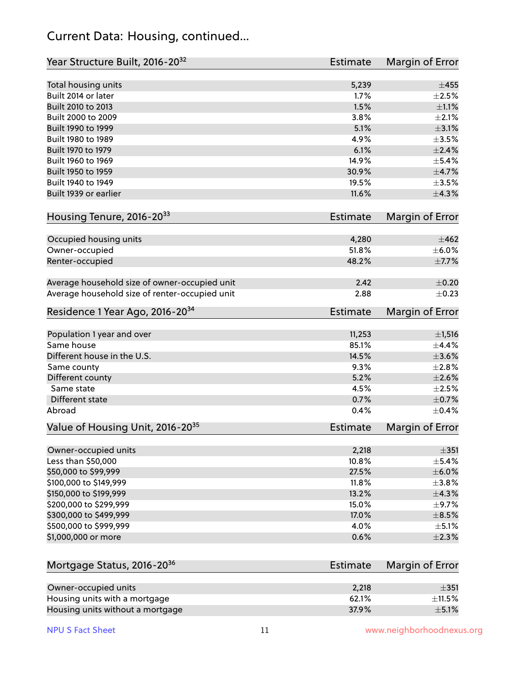#### Current Data: Housing, continued...

| Year Structure Built, 2016-20 <sup>32</sup>    | <b>Estimate</b> | Margin of Error |
|------------------------------------------------|-----------------|-----------------|
| Total housing units                            | 5,239           | $\pm 455$       |
| Built 2014 or later                            | 1.7%            | $\pm 2.5\%$     |
| Built 2010 to 2013                             | 1.5%            | $\pm 1.1\%$     |
| Built 2000 to 2009                             | 3.8%            | $\pm 2.1\%$     |
| Built 1990 to 1999                             | 5.1%            | $\pm$ 3.1%      |
| Built 1980 to 1989                             | 4.9%            | $\pm$ 3.5%      |
| Built 1970 to 1979                             | 6.1%            | $\pm 2.4\%$     |
| Built 1960 to 1969                             | 14.9%           | $\pm$ 5.4%      |
| Built 1950 to 1959                             | 30.9%           | $\pm$ 4.7%      |
| Built 1940 to 1949                             | 19.5%           | $\pm 3.5\%$     |
| Built 1939 or earlier                          | 11.6%           | ±4.3%           |
| Housing Tenure, 2016-2033                      | <b>Estimate</b> | Margin of Error |
|                                                |                 |                 |
| Occupied housing units                         | 4,280           | $\pm 462$       |
| Owner-occupied                                 | 51.8%           | $\pm$ 6.0%      |
| Renter-occupied                                | 48.2%           | $\pm$ 7.7%      |
| Average household size of owner-occupied unit  | 2.42            | $\pm$ 0.20      |
| Average household size of renter-occupied unit | 2.88            | $\pm$ 0.23      |
| Residence 1 Year Ago, 2016-20 <sup>34</sup>    | <b>Estimate</b> | Margin of Error |
|                                                |                 |                 |
| Population 1 year and over                     | 11,253          | ±1,516          |
| Same house                                     | 85.1%           | $\pm$ 4.4%      |
| Different house in the U.S.                    | 14.5%           | $\pm 3.6\%$     |
| Same county                                    | 9.3%            | $\pm 2.8\%$     |
| Different county                               | 5.2%            | $\pm 2.6\%$     |
| Same state                                     | 4.5%            | $\pm 2.5\%$     |
| Different state                                | 0.7%            | $\pm$ 0.7%      |
| Abroad                                         | 0.4%            | $\pm$ 0.4%      |
| Value of Housing Unit, 2016-20 <sup>35</sup>   | <b>Estimate</b> | Margin of Error |
| Owner-occupied units                           | 2,218           | $\pm 351$       |
| Less than \$50,000                             | 10.8%           | $\pm$ 5.4%      |
| \$50,000 to \$99,999                           | 27.5%           | $\pm$ 6.0%      |
| \$100,000 to \$149,999                         | 11.8%           | $\pm$ 3.8%      |
| \$150,000 to \$199,999                         | 13.2%           | $\pm$ 4.3%      |
| \$200,000 to \$299,999                         | 15.0%           | $\pm$ 9.7%      |
| \$300,000 to \$499,999                         | 17.0%           | $\pm$ 8.5%      |
| \$500,000 to \$999,999                         | 4.0%            | $\pm$ 5.1%      |
| \$1,000,000 or more                            | 0.6%            | $\pm 2.3\%$     |
|                                                |                 |                 |
| Mortgage Status, 2016-20 <sup>36</sup>         | <b>Estimate</b> | Margin of Error |
| Owner-occupied units                           | 2,218           | $\pm 351$       |
| Housing units with a mortgage                  | 62.1%           | $\pm$ 11.5%     |
| Housing units without a mortgage               | 37.9%           | $\pm$ 5.1%      |

Housing units without a mortgage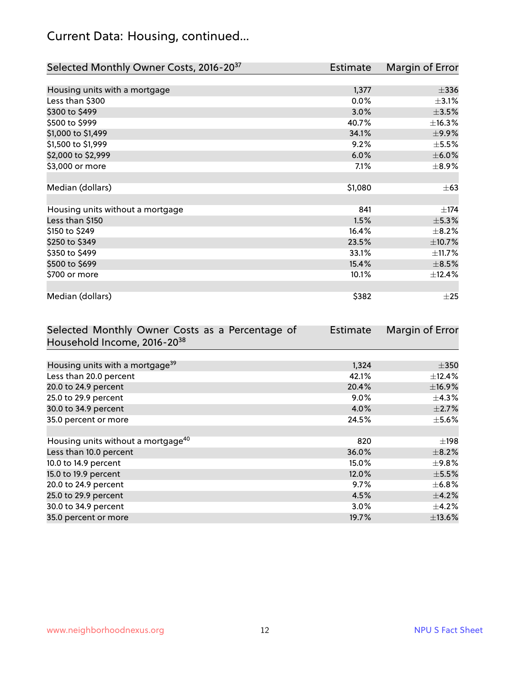## Current Data: Housing, continued...

| Selected Monthly Owner Costs, 2016-20 <sup>37</sup> | Estimate | Margin of Error |
|-----------------------------------------------------|----------|-----------------|
|                                                     |          |                 |
| Housing units with a mortgage                       | 1,377    | $\pm$ 336       |
| Less than \$300                                     | 0.0%     | $\pm$ 3.1%      |
| \$300 to \$499                                      | 3.0%     | $\pm$ 3.5%      |
| \$500 to \$999                                      | 40.7%    | ±16.3%          |
| \$1,000 to \$1,499                                  | 34.1%    | ±9.9%           |
| \$1,500 to \$1,999                                  | 9.2%     | $\pm$ 5.5%      |
| \$2,000 to \$2,999                                  | 6.0%     | $\pm$ 6.0%      |
| \$3,000 or more                                     | 7.1%     | $\pm$ 8.9%      |
|                                                     |          |                 |
| Median (dollars)                                    | \$1,080  | $\pm$ 63        |
|                                                     |          |                 |
| Housing units without a mortgage                    | 841      | $\pm$ 174       |
| Less than \$150                                     | 1.5%     | ±5.3%           |
| \$150 to \$249                                      | 16.4%    | $\pm$ 8.2%      |
| \$250 to \$349                                      | 23.5%    | ±10.7%          |
| \$350 to \$499                                      | 33.1%    | ±11.7%          |
| \$500 to \$699                                      | 15.4%    | $\pm$ 8.5%      |
| \$700 or more                                       | 10.1%    | ±12.4%          |
|                                                     |          |                 |
| Median (dollars)                                    | \$382    | $\pm 25$        |

| Selected Monthly Owner Costs as a Percentage of | <b>Estimate</b> | Margin of Error |
|-------------------------------------------------|-----------------|-----------------|
| Household Income, 2016-20 <sup>38</sup>         |                 |                 |
|                                                 |                 |                 |
| Housing units with a mortgage <sup>39</sup>     | 1,324           | $\pm$ 350       |
| Less than 20.0 percent                          | 42.1%           | $\pm$ 12.4%     |
| 20.0 to 24.9 percent                            | 20.4%           | ±16.9%          |
| 25.0 to 29.9 percent                            | $9.0\%$         | $\pm$ 4.3%      |
| 30.0 to 34.9 percent                            | 4.0%            | $\pm 2.7\%$     |
| 35.0 percent or more                            | 24.5%           | $\pm$ 5.6%      |
|                                                 |                 |                 |
| Housing units without a mortgage <sup>40</sup>  | 820             | $\pm$ 198       |
| Less than 10.0 percent                          | 36.0%           | $\pm$ 8.2%      |
| 10.0 to 14.9 percent                            | 15.0%           | $\pm$ 9.8%      |
| 15.0 to 19.9 percent                            | 12.0%           | $\pm$ 5.5%      |
| 20.0 to 24.9 percent                            | 9.7%            | $\pm$ 6.8%      |
| 25.0 to 29.9 percent                            | 4.5%            | $\pm$ 4.2%      |
| 30.0 to 34.9 percent                            | $3.0\%$         | $\pm$ 4.2%      |
| 35.0 percent or more                            | 19.7%           | $\pm$ 13.6%     |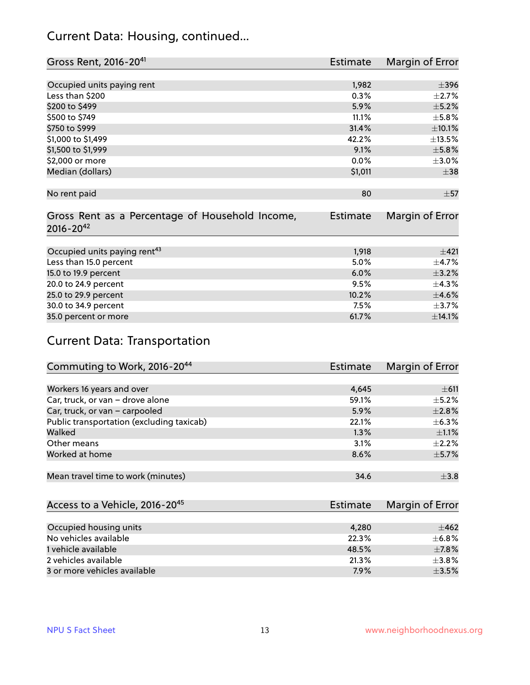#### Current Data: Housing, continued...

| Gross Rent, 2016-20 <sup>41</sup>               | Estimate        | Margin of Error |
|-------------------------------------------------|-----------------|-----------------|
|                                                 |                 |                 |
| Occupied units paying rent                      | 1,982           | $\pm$ 396       |
| Less than \$200                                 | 0.3%            | $\pm 2.7\%$     |
| \$200 to \$499                                  | 5.9%            | $\pm$ 5.2%      |
| \$500 to \$749                                  | 11.1%           | $\pm$ 5.8%      |
| \$750 to \$999                                  | 31.4%           | $\pm 10.1\%$    |
| \$1,000 to \$1,499                              | 42.2%           | ±13.5%          |
| \$1,500 to \$1,999                              | 9.1%            | $\pm$ 5.8%      |
| \$2,000 or more                                 | 0.0%            | $\pm 3.0\%$     |
| Median (dollars)                                | \$1,011         | $\pm$ 38        |
|                                                 |                 |                 |
| No rent paid                                    | 80              | $\pm$ 57        |
|                                                 |                 |                 |
| Gross Rent as a Percentage of Household Income, | <b>Estimate</b> | Margin of Error |
| $2016 - 20^{42}$                                |                 |                 |
|                                                 |                 |                 |
| Occupied units paying rent <sup>43</sup>        | 1,918           | $\pm 421$       |
| Less than 15.0 percent                          | 5.0%            | $\pm$ 4.7%      |
| 15.0 to 19.9 percent                            | 6.0%            | $\pm$ 3.2%      |
| 20.0 to 24.9 percent                            | 9.5%            | ±4.3%           |
| 25.0 to 29.9 percent                            | 10.2%           | $\pm 4.6\%$     |
| 30.0 to 34.9 percent                            | 7.5%            | $\pm$ 3.7%      |
| 35.0 percent or more                            | 61.7%           | ±14.1%          |

## Current Data: Transportation

| Commuting to Work, 2016-20 <sup>44</sup>  | Estimate | Margin of Error |
|-------------------------------------------|----------|-----------------|
|                                           |          |                 |
| Workers 16 years and over                 | 4,645    | $\pm$ 611       |
| Car, truck, or van - drove alone          | 59.1%    | $\pm$ 5.2%      |
| Car, truck, or van - carpooled            | 5.9%     | $\pm 2.8\%$     |
| Public transportation (excluding taxicab) | 22.1%    | $\pm$ 6.3%      |
| Walked                                    | 1.3%     | $\pm 1.1\%$     |
| Other means                               | 3.1%     | $\pm 2.2\%$     |
| Worked at home                            | 8.6%     | $\pm$ 5.7%      |
|                                           |          |                 |
| Mean travel time to work (minutes)        | 34.6     | $\pm$ 3.8       |

| Access to a Vehicle, 2016-20 <sup>45</sup> | Estimate | Margin of Error |
|--------------------------------------------|----------|-----------------|
|                                            |          |                 |
| Occupied housing units                     | 4,280    | $+462$          |
| No vehicles available                      | 22.3%    | $\pm$ 6.8%      |
| 1 vehicle available                        | 48.5%    | $\pm$ 7.8%      |
| 2 vehicles available                       | 21.3%    | $\pm$ 3.8%      |
| 3 or more vehicles available               | 7.9%     | $+3.5%$         |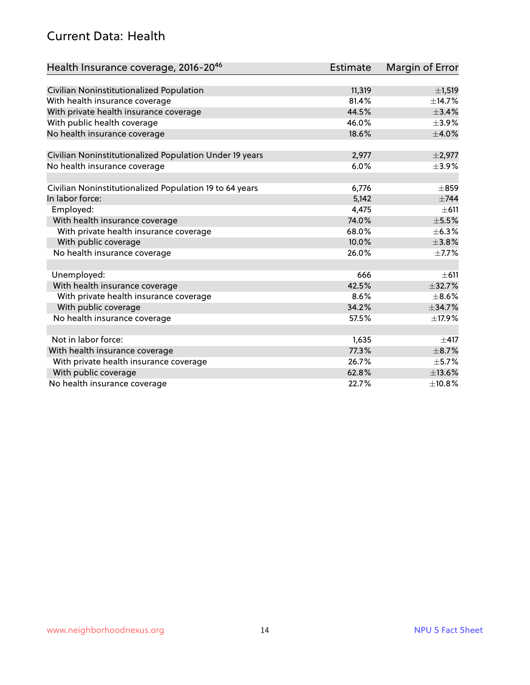#### Current Data: Health

| Health Insurance coverage, 2016-2046                    | <b>Estimate</b> | Margin of Error |
|---------------------------------------------------------|-----------------|-----------------|
|                                                         |                 |                 |
| Civilian Noninstitutionalized Population                | 11,319          | $\pm$ 1,519     |
| With health insurance coverage                          | 81.4%           | ±14.7%          |
| With private health insurance coverage                  | 44.5%           | ±3.4%           |
| With public health coverage                             | 46.0%           | $\pm$ 3.9%      |
| No health insurance coverage                            | 18.6%           | $\pm 4.0\%$     |
| Civilian Noninstitutionalized Population Under 19 years | 2,977           | $\pm 2,977$     |
| No health insurance coverage                            | 6.0%            | $\pm$ 3.9%      |
|                                                         |                 |                 |
| Civilian Noninstitutionalized Population 19 to 64 years | 6,776           | $\pm 859$       |
| In labor force:                                         | 5,142           | $\pm$ 744       |
| Employed:                                               | 4,475           | $\pm 611$       |
| With health insurance coverage                          | 74.0%           | $\pm$ 5.5%      |
| With private health insurance coverage                  | 68.0%           | ±6.3%           |
| With public coverage                                    | 10.0%           | ±3.8%           |
| No health insurance coverage                            | 26.0%           | $\pm$ 7.7%      |
|                                                         |                 |                 |
| Unemployed:                                             | 666             | $\pm 611$       |
| With health insurance coverage                          | 42.5%           | ±32.7%          |
| With private health insurance coverage                  | 8.6%            | $\pm$ 8.6%      |
| With public coverage                                    | 34.2%           | ±34.7%          |
| No health insurance coverage                            | 57.5%           | ±17.9%          |
|                                                         |                 |                 |
| Not in labor force:                                     | 1,635           | $\pm$ 417       |
| With health insurance coverage                          | 77.3%           | $\pm$ 8.7%      |
| With private health insurance coverage                  | 26.7%           | $\pm$ 5.7%      |
| With public coverage                                    | 62.8%           | ±13.6%          |
| No health insurance coverage                            | 22.7%           | ±10.8%          |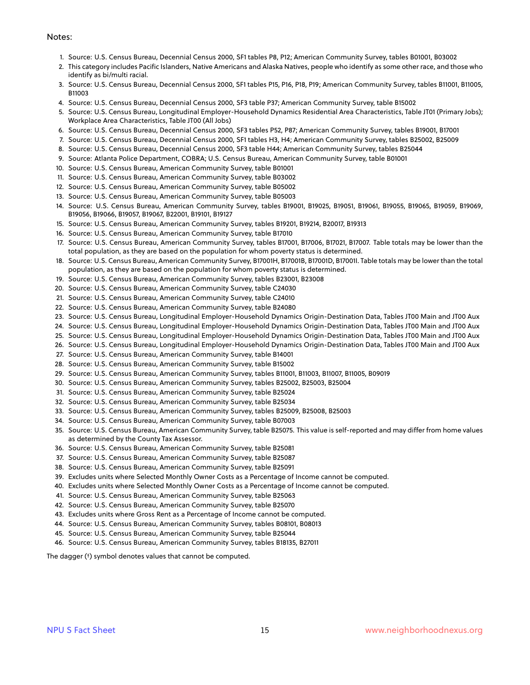#### Notes:

- 1. Source: U.S. Census Bureau, Decennial Census 2000, SF1 tables P8, P12; American Community Survey, tables B01001, B03002
- 2. This category includes Pacific Islanders, Native Americans and Alaska Natives, people who identify as some other race, and those who identify as bi/multi racial.
- 3. Source: U.S. Census Bureau, Decennial Census 2000, SF1 tables P15, P16, P18, P19; American Community Survey, tables B11001, B11005, B11003
- 4. Source: U.S. Census Bureau, Decennial Census 2000, SF3 table P37; American Community Survey, table B15002
- 5. Source: U.S. Census Bureau, Longitudinal Employer-Household Dynamics Residential Area Characteristics, Table JT01 (Primary Jobs); Workplace Area Characteristics, Table JT00 (All Jobs)
- 6. Source: U.S. Census Bureau, Decennial Census 2000, SF3 tables P52, P87; American Community Survey, tables B19001, B17001
- 7. Source: U.S. Census Bureau, Decennial Census 2000, SF1 tables H3, H4; American Community Survey, tables B25002, B25009
- 8. Source: U.S. Census Bureau, Decennial Census 2000, SF3 table H44; American Community Survey, tables B25044
- 9. Source: Atlanta Police Department, COBRA; U.S. Census Bureau, American Community Survey, table B01001
- 10. Source: U.S. Census Bureau, American Community Survey, table B01001
- 11. Source: U.S. Census Bureau, American Community Survey, table B03002
- 12. Source: U.S. Census Bureau, American Community Survey, table B05002
- 13. Source: U.S. Census Bureau, American Community Survey, table B05003
- 14. Source: U.S. Census Bureau, American Community Survey, tables B19001, B19025, B19051, B19061, B19055, B19065, B19059, B19069, B19056, B19066, B19057, B19067, B22001, B19101, B19127
- 15. Source: U.S. Census Bureau, American Community Survey, tables B19201, B19214, B20017, B19313
- 16. Source: U.S. Census Bureau, American Community Survey, table B17010
- 17. Source: U.S. Census Bureau, American Community Survey, tables B17001, B17006, B17021, B17007. Table totals may be lower than the total population, as they are based on the population for whom poverty status is determined.
- 18. Source: U.S. Census Bureau, American Community Survey, B17001H, B17001B, B17001D, B17001I. Table totals may be lower than the total population, as they are based on the population for whom poverty status is determined.
- 19. Source: U.S. Census Bureau, American Community Survey, tables B23001, B23008
- 20. Source: U.S. Census Bureau, American Community Survey, table C24030
- 21. Source: U.S. Census Bureau, American Community Survey, table C24010
- 22. Source: U.S. Census Bureau, American Community Survey, table B24080
- 23. Source: U.S. Census Bureau, Longitudinal Employer-Household Dynamics Origin-Destination Data, Tables JT00 Main and JT00 Aux
- 24. Source: U.S. Census Bureau, Longitudinal Employer-Household Dynamics Origin-Destination Data, Tables JT00 Main and JT00 Aux
- 25. Source: U.S. Census Bureau, Longitudinal Employer-Household Dynamics Origin-Destination Data, Tables JT00 Main and JT00 Aux
- 26. Source: U.S. Census Bureau, Longitudinal Employer-Household Dynamics Origin-Destination Data, Tables JT00 Main and JT00 Aux
- 27. Source: U.S. Census Bureau, American Community Survey, table B14001
- 28. Source: U.S. Census Bureau, American Community Survey, table B15002
- 29. Source: U.S. Census Bureau, American Community Survey, tables B11001, B11003, B11007, B11005, B09019
- 30. Source: U.S. Census Bureau, American Community Survey, tables B25002, B25003, B25004
- 31. Source: U.S. Census Bureau, American Community Survey, table B25024
- 32. Source: U.S. Census Bureau, American Community Survey, table B25034
- 33. Source: U.S. Census Bureau, American Community Survey, tables B25009, B25008, B25003
- 34. Source: U.S. Census Bureau, American Community Survey, table B07003
- 35. Source: U.S. Census Bureau, American Community Survey, table B25075. This value is self-reported and may differ from home values as determined by the County Tax Assessor.
- 36. Source: U.S. Census Bureau, American Community Survey, table B25081
- 37. Source: U.S. Census Bureau, American Community Survey, table B25087
- 38. Source: U.S. Census Bureau, American Community Survey, table B25091
- 39. Excludes units where Selected Monthly Owner Costs as a Percentage of Income cannot be computed.
- 40. Excludes units where Selected Monthly Owner Costs as a Percentage of Income cannot be computed.
- 41. Source: U.S. Census Bureau, American Community Survey, table B25063
- 42. Source: U.S. Census Bureau, American Community Survey, table B25070
- 43. Excludes units where Gross Rent as a Percentage of Income cannot be computed.
- 44. Source: U.S. Census Bureau, American Community Survey, tables B08101, B08013
- 45. Source: U.S. Census Bureau, American Community Survey, table B25044
- 46. Source: U.S. Census Bureau, American Community Survey, tables B18135, B27011

The dagger (†) symbol denotes values that cannot be computed.